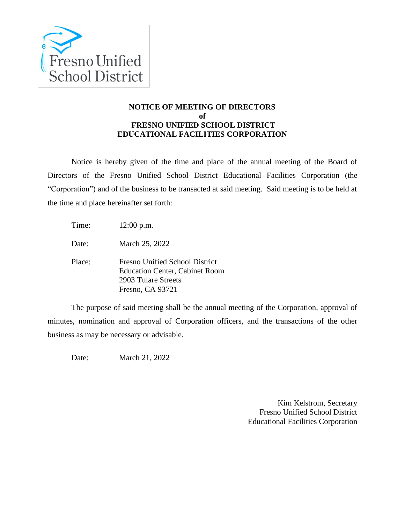

## **NOTICE OF MEETING OF DIRECTORS of FRESNO UNIFIED SCHOOL DISTRICT EDUCATIONAL FACILITIES CORPORATION**

Notice is hereby given of the time and place of the annual meeting of the Board of Directors of the Fresno Unified School District Educational Facilities Corporation (the "Corporation") and of the business to be transacted at said meeting. Said meeting is to be held at the time and place hereinafter set forth:

Time: 12:00 p.m.

Date: March 25, 2022

Place: Fresno Unified School District Education Center, Cabinet Room 2903 Tulare Streets Fresno, CA 93721

The purpose of said meeting shall be the annual meeting of the Corporation, approval of minutes, nomination and approval of Corporation officers, and the transactions of the other business as may be necessary or advisable.

Date: March 21, 2022

Kim Kelstrom, Secretary Fresno Unified School District Educational Facilities Corporation